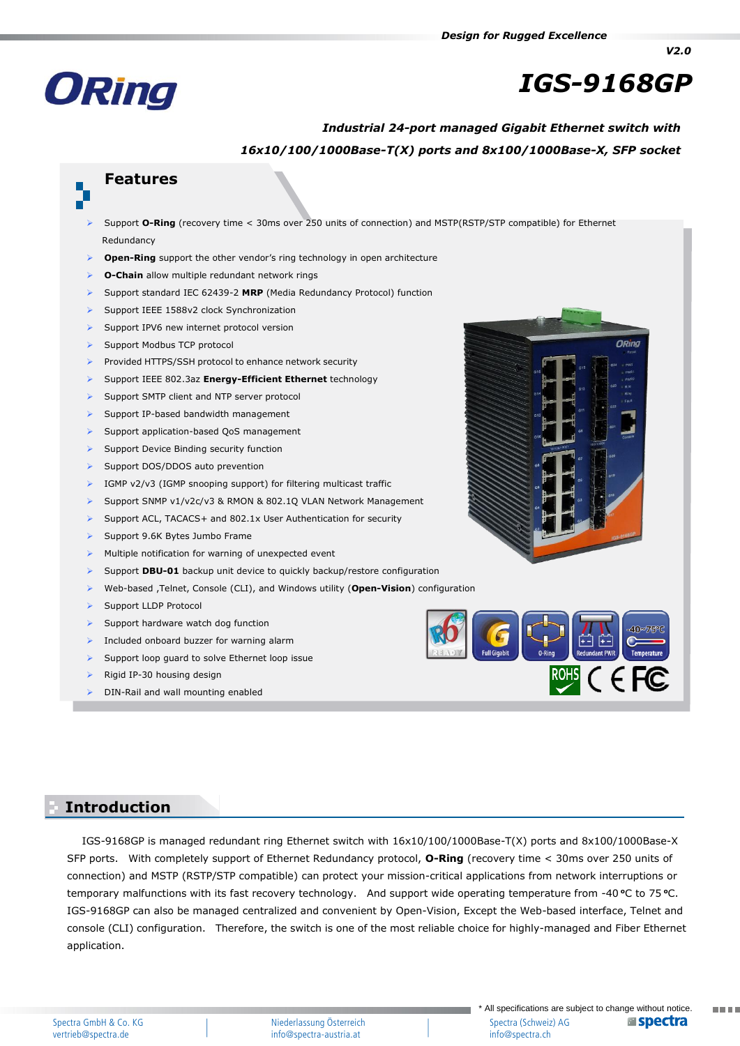

# *IGS-9168GP*

*V2.0*

## *Industrial 24-port managed Gigabit Ethernet switch with 16x10/100/1000Base-T(X) ports and 8x100/1000Base-X, SFP socket*

# **Features**

- Support **O-Ring** (recovery time < 30ms over 250 units of connection) and MSTP(RSTP/STP compatible) for Ethernet Redundancy
- **Open-Ring** support the other vendor's ring technology in open architecture
- **O-Chain** allow multiple redundant network rings
- Support standard IEC 62439-2 **MRP** (Media Redundancy Protocol) function
- Support IEEE 1588v2 clock Synchronization
- Support IPV6 new internet protocol version
- Support Modbus TCP protocol
- Provided HTTPS/SSH protocol to enhance network security
- Support IEEE 802.3az **Energy-Efficient Ethernet** technology
- Support SMTP client and NTP server protocol
- Support IP-based bandwidth management
- Support application-based QoS management
- Support Device Binding security function
- Support DOS/DDOS auto prevention
- IGMP v2/v3 (IGMP snooping support) for filtering multicast traffic
- Support SNMP v1/v2c/v3 & RMON & 802.1Q VLAN Network Management
- Support ACL, TACACS+ and 802.1x User Authentication for security
- Support 9.6K Bytes Jumbo Frame
- Multiple notification for warning of unexpected event
- Support **DBU-01** backup unit device to quickly backup/restore configuration
- Web-based ,Telnet, Console (CLI), and Windows utility (**Open-Vision**) configuration
- Support LLDP Protocol
- Support hardware watch dog function
- Included onboard buzzer for warning alarm
- Support loop guard to solve Ethernet loop issue
- Rigid IP-30 housing design
- DIN-Rail and wall mounting enabled





### **Introduction Introduction**

IGS-9168GP is managed redundant ring Ethernet switch with 16x10/100/1000Base-T(X) ports and 8x100/1000Base-X SFP ports. With completely support of Ethernet Redundancy protocol, **O-Ring** (recovery time < 30ms over 250 units of connection) and MSTP (RSTP/STP compatible) can protect your mission-critical applications from network interruptions or temporary malfunctions with its fast recovery technology. And support wide operating temperature from -40 °C to 75 °C. IGS-9168GP can also be managed centralized and convenient by Open-Vision, Except the Web-based interface, Telnet and console (CLI) configuration. Therefore, the switch is one of the most reliable choice for highly-managed and Fiber Ethernet application.

man an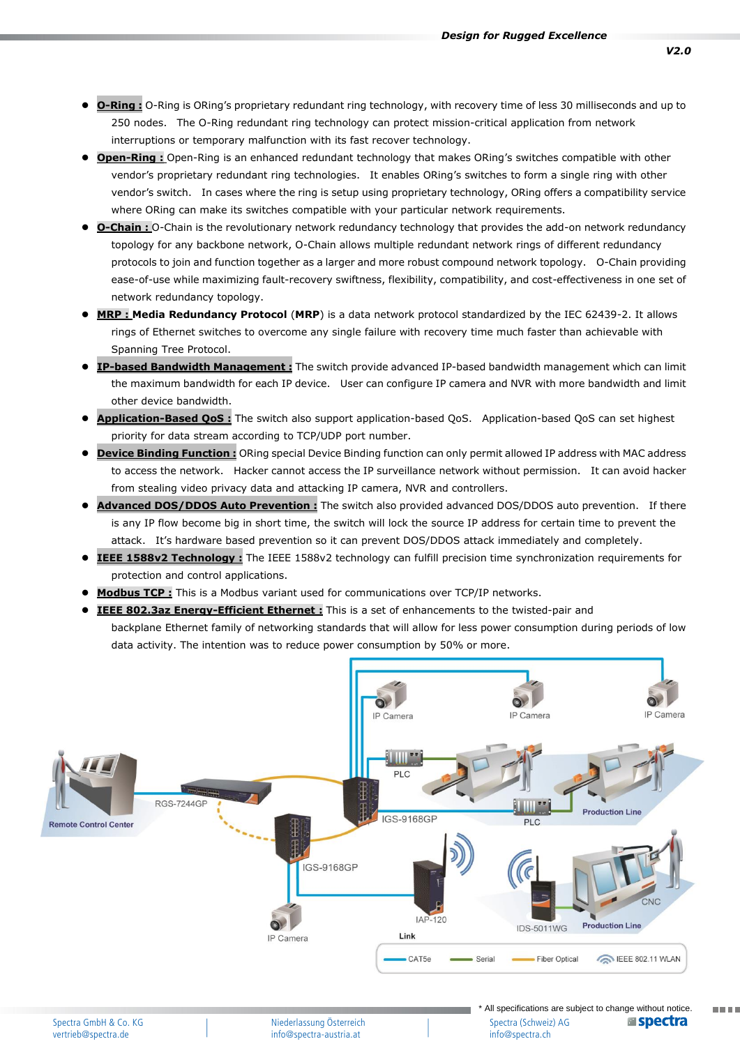- **O-Ring :** O-Ring is ORing's proprietary redundant ring technology, with recovery time of less 30 milliseconds and up to 250 nodes. The O-Ring redundant ring technology can protect mission-critical application from network interruptions or temporary malfunction with its fast recover technology.
- **Open-Ring :** Open-Ring is an enhanced redundant technology that makes ORing's switches compatible with other vendor's proprietary redundant ring technologies. It enables ORing's switches to form a single ring with other vendor's switch. In cases where the ring is setup using proprietary technology, ORing offers a compatibility service where ORing can make its switches compatible with your particular network requirements.
- **O-Chain :** O-Chain is the revolutionary network redundancy technology that provides the add-on network redundancy topology for any backbone network, O-Chain allows multiple redundant network rings of different redundancy protocols to join and function together as a larger and more robust compound network topology. O-Chain providing ease-of-use while maximizing fault-recovery swiftness, flexibility, compatibility, and cost-effectiveness in one set of network redundancy topology.
- **MRP : Media Redundancy Protocol** (**MRP**) is a data network protocol standardized by the IEC 62439-2. It allows rings of Ethernet switches to overcome any single failure with recovery time much faster than achievable with Spanning Tree Protocol.
- **IP-based Bandwidth Management :** The switch provide advanced IP-based bandwidth management which can limit the maximum bandwidth for each IP device. User can configure IP camera and NVR with more bandwidth and limit other device bandwidth.
- **Application-Based QoS :** The switch also support application-based QoS. Application-based QoS can set highest priority for data stream according to TCP/UDP port number.
- **Device Binding Function :** ORing special Device Binding function can only permit allowed IP address with MAC address to access the network. Hacker cannot access the IP surveillance network without permission. It can avoid hacker from stealing video privacy data and attacking IP camera, NVR and controllers.
- **Advanced DOS/DDOS Auto Prevention :** The switch also provided advanced DOS/DDOS auto prevention. If there is any IP flow become big in short time, the switch will lock the source IP address for certain time to prevent the attack. It's hardware based prevention so it can prevent DOS/DDOS attack immediately and completely.
- **IEEE 1588v2 Technology :** The IEEE 1588v2 technology can fulfill precision time synchronization requirements for protection and control applications.
- **Modbus TCP :** This is a Modbus variant used for communications over TCP/IP networks.
- **IEEE 802.3az Energy-Efficient Ethernet :** This is a set of enhancements to the twisted-pair and backplane Ethernet family of networking standards that will allow for less power consumption during periods of low data activity. The intention was to reduce power consumption by 50% or more.



Niederlassung Österreich info@spectra-austria.at

\* All specifications are subject to change without notice. **Espectra** Spectra (Schweiz) AG info@spectra.ch

ma ma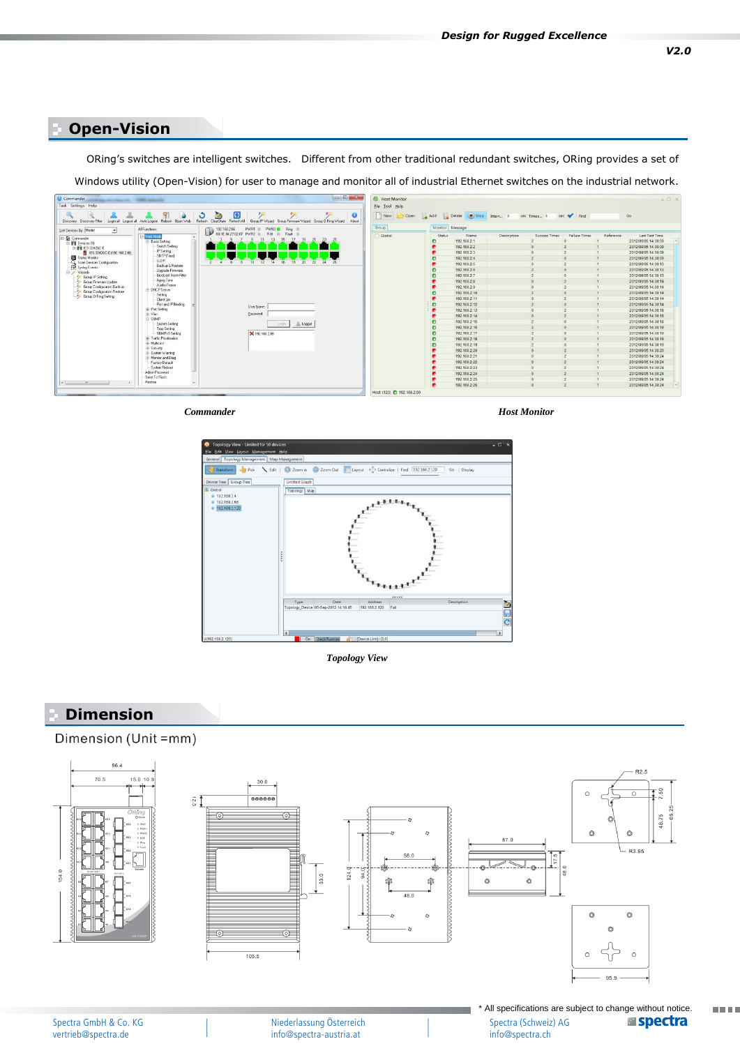### **Open-Vision**

ORing's switches are intelligent switches. Different from other traditional redundant switches, ORing provides a set of **Specifications**

Windows utility (Open-Vision) for user to manage and monitor all of industrial Ethernet switches on the industrial network.



*Commander*

*Host Monitor*

info@spectra.ch

**TIME** 



*Topology View*

### **Dimension**

vertrieb@spectra.de

#### Dimension (Unit =mm)



info@spectra-austria.at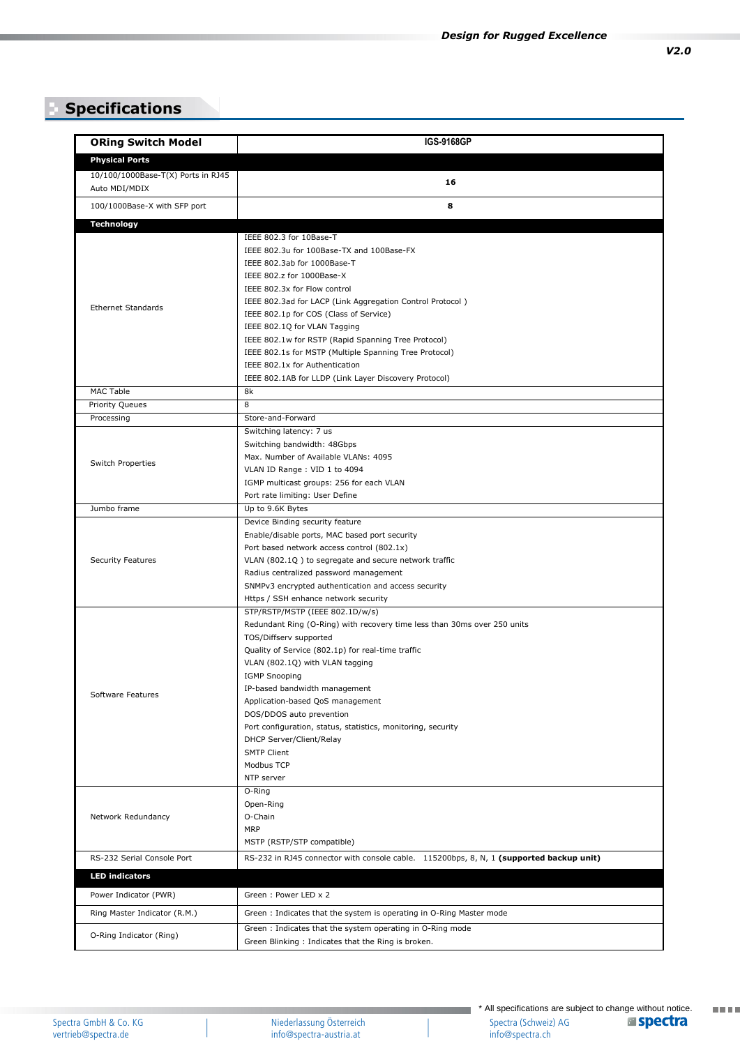# **Specifications**

| <b>ORing Switch Model</b>                           | <b>IGS-9168GP</b>                                                                                                                                                                                                                                                                                                                                                                                                                                                                                    |
|-----------------------------------------------------|------------------------------------------------------------------------------------------------------------------------------------------------------------------------------------------------------------------------------------------------------------------------------------------------------------------------------------------------------------------------------------------------------------------------------------------------------------------------------------------------------|
| <b>Physical Ports</b>                               |                                                                                                                                                                                                                                                                                                                                                                                                                                                                                                      |
| 10/100/1000Base-T(X) Ports in RJ45<br>Auto MDI/MDIX | 16                                                                                                                                                                                                                                                                                                                                                                                                                                                                                                   |
| 100/1000Base-X with SFP port                        | 8                                                                                                                                                                                                                                                                                                                                                                                                                                                                                                    |
| <b>Technology</b>                                   |                                                                                                                                                                                                                                                                                                                                                                                                                                                                                                      |
|                                                     | IEEE 802.3 for 10Base-T<br>IEEE 802.3u for 100Base-TX and 100Base-FX<br>IEEE 802.3ab for 1000Base-T<br>IEEE 802.z for 1000Base-X<br>IEEE 802.3x for Flow control                                                                                                                                                                                                                                                                                                                                     |
| <b>Ethernet Standards</b>                           | IEEE 802.3ad for LACP (Link Aggregation Control Protocol)<br>IEEE 802.1p for COS (Class of Service)<br>IEEE 802.1Q for VLAN Tagging<br>IEEE 802.1w for RSTP (Rapid Spanning Tree Protocol)<br>IEEE 802.1s for MSTP (Multiple Spanning Tree Protocol)<br>IEEE 802.1x for Authentication<br>IEEE 802.1AB for LLDP (Link Layer Discovery Protocol)                                                                                                                                                      |
| <b>MAC Table</b>                                    | 8k                                                                                                                                                                                                                                                                                                                                                                                                                                                                                                   |
| <b>Priority Queues</b>                              | 8                                                                                                                                                                                                                                                                                                                                                                                                                                                                                                    |
| Processing                                          | Store-and-Forward                                                                                                                                                                                                                                                                                                                                                                                                                                                                                    |
| Switch Properties                                   | Switching latency: 7 us<br>Switching bandwidth: 48Gbps<br>Max. Number of Available VLANs: 4095<br>VLAN ID Range: VID 1 to 4094<br>IGMP multicast groups: 256 for each VLAN<br>Port rate limiting: User Define                                                                                                                                                                                                                                                                                        |
| Jumbo frame                                         | Up to 9.6K Bytes                                                                                                                                                                                                                                                                                                                                                                                                                                                                                     |
| <b>Security Features</b>                            | Device Binding security feature<br>Enable/disable ports, MAC based port security<br>Port based network access control (802.1x)<br>VLAN (802.1Q) to segregate and secure network traffic<br>Radius centralized password management<br>SNMPv3 encrypted authentication and access security<br>Https / SSH enhance network security                                                                                                                                                                     |
| Software Features                                   | STP/RSTP/MSTP (IEEE 802.1D/w/s)<br>Redundant Ring (O-Ring) with recovery time less than 30ms over 250 units<br>TOS/Diffserv supported<br>Quality of Service (802.1p) for real-time traffic<br>VLAN (802.1Q) with VLAN tagging<br><b>IGMP Snooping</b><br>IP-based bandwidth management<br>Application-based QoS management<br>DOS/DDOS auto prevention<br>Port configuration, status, statistics, monitoring, security<br>DHCP Server/Client/Relay<br><b>SMTP Client</b><br>Modbus TCP<br>NTP server |
| Network Redundancy                                  | O-Ring<br>Open-Ring<br>O-Chain<br><b>MRP</b><br>MSTP (RSTP/STP compatible)                                                                                                                                                                                                                                                                                                                                                                                                                           |
| RS-232 Serial Console Port                          | RS-232 in RJ45 connector with console cable. 115200bps, 8, N, 1 (supported backup unit)                                                                                                                                                                                                                                                                                                                                                                                                              |
| <b>LED indicators</b>                               |                                                                                                                                                                                                                                                                                                                                                                                                                                                                                                      |
| Power Indicator (PWR)                               | Green: Power LED x 2                                                                                                                                                                                                                                                                                                                                                                                                                                                                                 |
| Ring Master Indicator (R.M.)                        | Green: Indicates that the system is operating in O-Ring Master mode                                                                                                                                                                                                                                                                                                                                                                                                                                  |
| O-Ring Indicator (Ring)                             | Green: Indicates that the system operating in O-Ring mode<br>Green Blinking: Indicates that the Ring is broken.                                                                                                                                                                                                                                                                                                                                                                                      |

Niederlassung Österreich info@spectra-austria.at

**The Co** 

**TETT**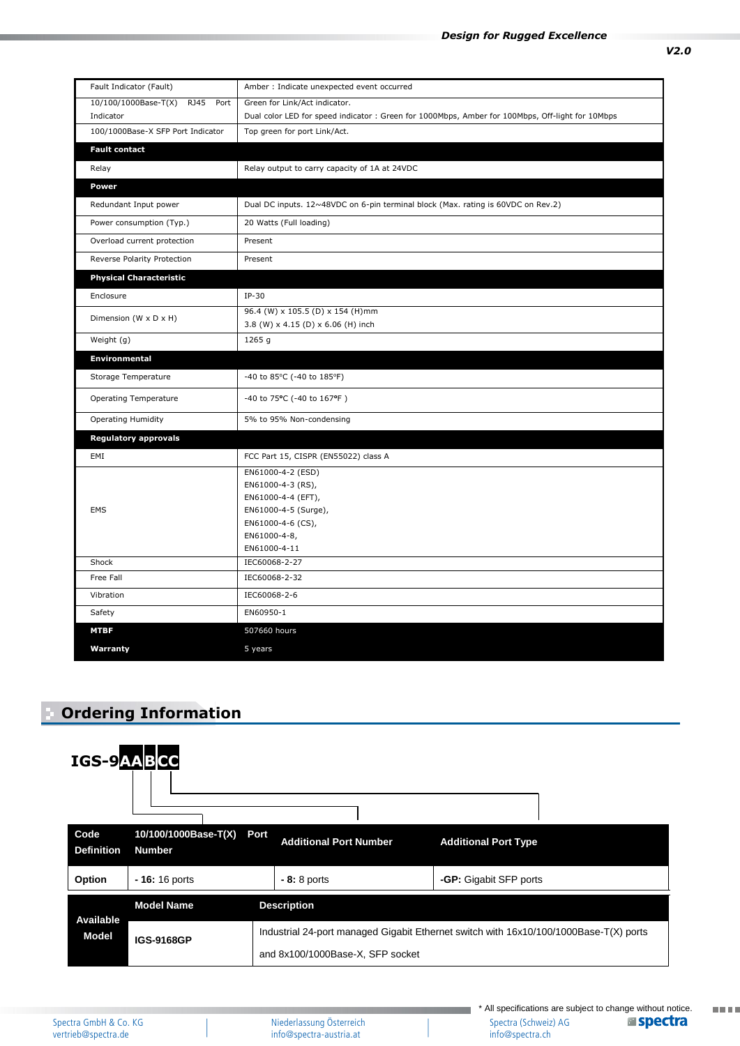| Fault Indicator (Fault)                     | Amber : Indicate unexpected event occurred                                                       |
|---------------------------------------------|--------------------------------------------------------------------------------------------------|
| 10/100/1000Base-T(X)<br><b>RJ45</b><br>Port | Green for Link/Act indicator.                                                                    |
| Indicator                                   | Dual color LED for speed indicator : Green for 1000Mbps, Amber for 100Mbps, Off-light for 10Mbps |
| 100/1000Base-X SFP Port Indicator           | Top green for port Link/Act.                                                                     |
| <b>Fault contact</b>                        |                                                                                                  |
| Relay                                       | Relay output to carry capacity of 1A at 24VDC                                                    |
| Power                                       |                                                                                                  |
| Redundant Input power                       | Dual DC inputs. 12~48VDC on 6-pin terminal block (Max. rating is 60VDC on Rev.2)                 |
| Power consumption (Typ.)                    | 20 Watts (Full loading)                                                                          |
| Overload current protection                 | Present                                                                                          |
| Reverse Polarity Protection                 | Present                                                                                          |
| <b>Physical Characteristic</b>              |                                                                                                  |
| Enclosure                                   | $IP-30$                                                                                          |
| Dimension (W x D x H)                       | 96.4 (W) x 105.5 (D) x 154 (H)mm                                                                 |
|                                             | 3.8 (W) x 4.15 (D) x 6.06 (H) inch                                                               |
| Weight (g)                                  | 1265 g                                                                                           |
| <b>Environmental</b>                        |                                                                                                  |
| Storage Temperature                         | -40 to 85°C (-40 to 185°F)                                                                       |
| <b>Operating Temperature</b>                | -40 to 75°C (-40 to 167°F)                                                                       |
| <b>Operating Humidity</b>                   | 5% to 95% Non-condensing                                                                         |
| <b>Regulatory approvals</b>                 |                                                                                                  |
| EMI                                         | FCC Part 15, CISPR (EN55022) class A                                                             |
| EMS                                         | EN61000-4-2 (ESD)                                                                                |
|                                             | EN61000-4-3 (RS),                                                                                |
|                                             | EN61000-4-4 (EFT),                                                                               |
|                                             | EN61000-4-5 (Surge),                                                                             |
|                                             | EN61000-4-6 (CS),<br>EN61000-4-8,                                                                |
|                                             | EN61000-4-11                                                                                     |
| Shock                                       | IEC60068-2-27                                                                                    |
| Free Fall                                   | IEC60068-2-32                                                                                    |
| Vibration                                   | IEC60068-2-6                                                                                     |
| Safety                                      | EN60950-1                                                                                        |
| <b>MTBF</b>                                 | 507660 hours                                                                                     |
| Warranty                                    | 5 years                                                                                          |

# **Ordering Information**



**HELL**